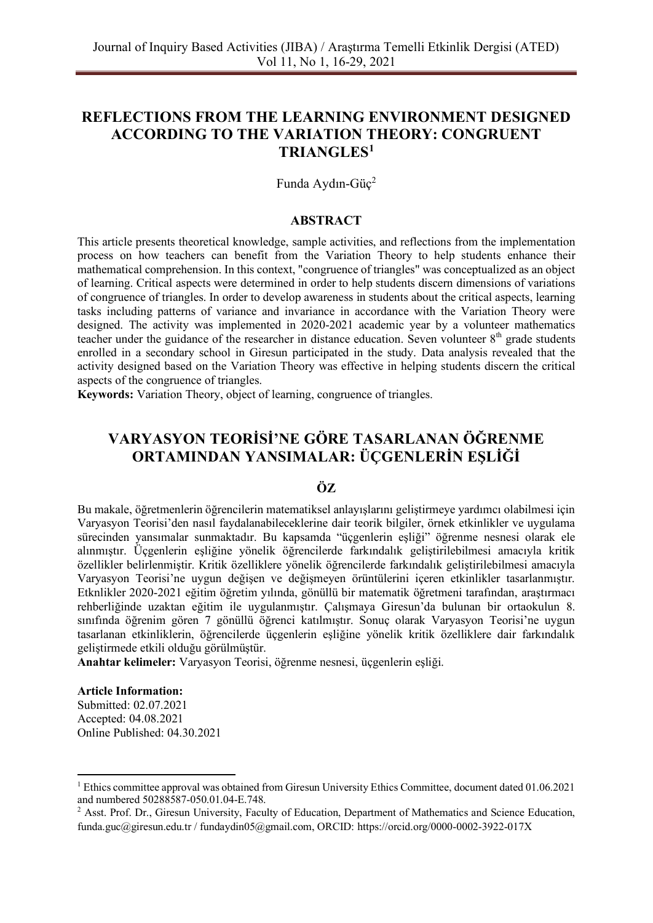# **REFLECTIONS FROM THE LEARNING ENVIRONMENT DESIGNED ACCORDING TO THE VARIATION THEORY: CONGRUENT TRIANGLES<sup>1</sup>**

Funda Aydın-Güç<sup>2</sup>

## **ABSTRACT**

This article presents theoretical knowledge, sample activities, and reflections from the implementation process on how teachers can benefit from the Variation Theory to help students enhance their mathematical comprehension. In this context, "congruence of triangles" was conceptualized as an object of learning. Critical aspects were determined in order to help students discern dimensions of variations of congruence of triangles. In order to develop awareness in students about the critical aspects, learning tasks including patterns of variance and invariance in accordance with the Variation Theory were designed. The activity was implemented in 2020-2021 academic year by a volunteer mathematics teacher under the guidance of the researcher in distance education. Seven volunteer  $8<sup>th</sup>$  grade students enrolled in a secondary school in Giresun participated in the study. Data analysis revealed that the activity designed based on the Variation Theory was effective in helping students discern the critical aspects of the congruence of triangles.

**Keywords:** Variation Theory, object of learning, congruence of triangles.

# **VARYASYON TEORİSİ'NE GÖRE TASARLANAN ÖĞRENME ORTAMINDAN YANSIMALAR: ÜÇGENLERİN EŞLİĞİ**

## **ÖZ**

Bu makale, öğretmenlerin öğrencilerin matematiksel anlayışlarını geliştirmeye yardımcı olabilmesi için Varyasyon Teorisi'den nasıl faydalanabileceklerine dair teorik bilgiler, örnek etkinlikler ve uygulama sürecinden yansımalar sunmaktadır. Bu kapsamda "üçgenlerin eşliği" öğrenme nesnesi olarak ele alınmıştır. Üçgenlerin eşliğine yönelik öğrencilerde farkındalık geliştirilebilmesi amacıyla kritik özellikler belirlenmiştir. Kritik özelliklere yönelik öğrencilerde farkındalık geliştirilebilmesi amacıyla Varyasyon Teorisi'ne uygun değişen ve değişmeyen örüntülerini içeren etkinlikler tasarlanmıştır. Etknlikler 2020-2021 eğitim öğretim yılında, gönüllü bir matematik öğretmeni tarafından, araştırmacı rehberliğinde uzaktan eğitim ile uygulanmıştır. Çalışmaya Giresun'da bulunan bir ortaokulun 8. sınıfında öğrenim gören 7 gönüllü öğrenci katılmıştır. Sonuç olarak Varyasyon Teorisi'ne uygun tasarlanan etkinliklerin, öğrencilerde üçgenlerin eşliğine yönelik kritik özelliklere dair farkındalık geliştirmede etkili olduğu görülmüştür.

**Anahtar kelimeler:** Varyasyon Teorisi, öğrenme nesnesi, üçgenlerin eşliği.

#### **Article Information:**

Submitted: 02.07.2021 Accepted: 04.08.2021 Online Published: 04.30.2021

<sup>1</sup> Ethics committee approval was obtained from Giresun University Ethics Committee, document dated 01.06.2021 and numbered 50288587-050.01.04-E.748.

<sup>2</sup> Asst. Prof. Dr., Giresun University, Faculty of Education, Department of Mathematics and Science Education, funda.guc@giresun.edu.tr / fundaydin05@gmail.com, ORCID: https://orcid.org/0000-0002-3922-017X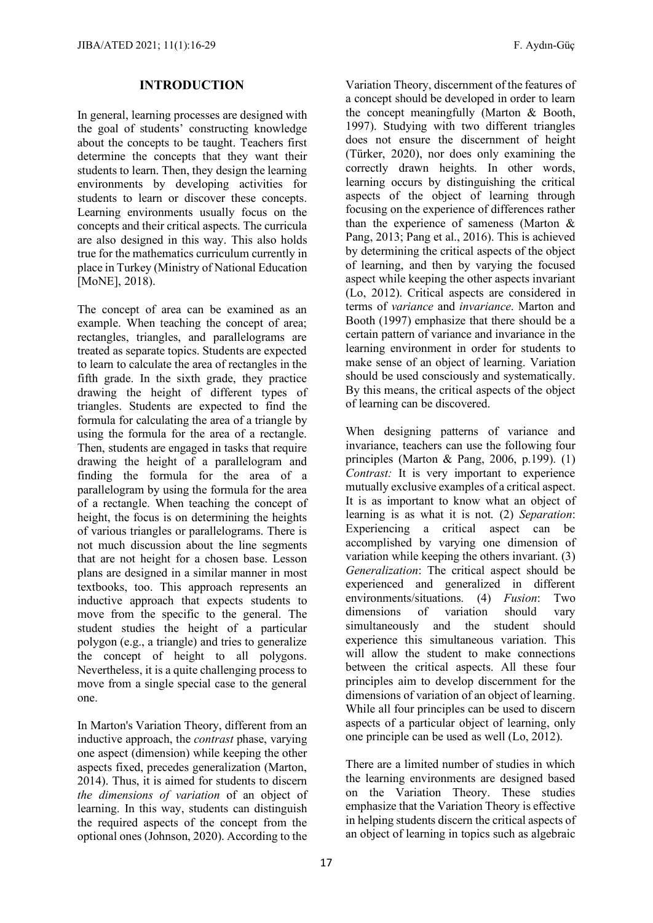### **INTRODUCTION**

In general, learning processes are designed with the goal of students' constructing knowledge about the concepts to be taught. Teachers first determine the concepts that they want their students to learn. Then, they design the learning environments by developing activities for students to learn or discover these concepts. Learning environments usually focus on the concepts and their critical aspects. The curricula are also designed in this way. This also holds true for the mathematics curriculum currently in place in Turkey (Ministry of National Education [MoNE], 2018).

The concept of area can be examined as an example. When teaching the concept of area; rectangles, triangles, and parallelograms are treated as separate topics. Students are expected to learn to calculate the area of rectangles in the fifth grade. In the sixth grade, they practice drawing the height of different types of triangles. Students are expected to find the formula for calculating the area of a triangle by using the formula for the area of a rectangle. Then, students are engaged in tasks that require drawing the height of a parallelogram and finding the formula for the area of a parallelogram by using the formula for the area of a rectangle. When teaching the concept of height, the focus is on determining the heights of various triangles or parallelograms. There is not much discussion about the line segments that are not height for a chosen base. Lesson plans are designed in a similar manner in most textbooks, too. This approach represents an inductive approach that expects students to move from the specific to the general. The student studies the height of a particular polygon (e.g., a triangle) and tries to generalize the concept of height to all polygons. Nevertheless, it is a quite challenging process to move from a single special case to the general one.

In Marton's Variation Theory, different from an inductive approach, the *contrast* phase, varying one aspect (dimension) while keeping the other aspects fixed, precedes generalization (Marton, 2014). Thus, it is aimed for students to discern *the dimensions of variation* of an object of learning. In this way, students can distinguish the required aspects of the concept from the optional ones (Johnson, 2020). According to the

Variation Theory, discernment of the features of a concept should be developed in order to learn the concept meaningfully (Marton & Booth, 1997). Studying with two different triangles does not ensure the discernment of height (Türker, 2020), nor does only examining the correctly drawn heights. In other words, learning occurs by distinguishing the critical aspects of the object of learning through focusing on the experience of differences rather than the experience of sameness (Marton & Pang, 2013; Pang et al., 2016). This is achieved by determining the critical aspects of the object of learning, and then by varying the focused aspect while keeping the other aspects invariant (Lo, 2012). Critical aspects are considered in terms of *variance* and *invariance*. Marton and Booth (1997) emphasize that there should be a certain pattern of variance and invariance in the learning environment in order for students to make sense of an object of learning. Variation should be used consciously and systematically. By this means, the critical aspects of the object of learning can be discovered.

When designing patterns of variance and invariance, teachers can use the following four principles (Marton & Pang, 2006, p.199). (1) *Contrast:* It is very important to experience mutually exclusive examples of a critical aspect. It is as important to know what an object of learning is as what it is not. (2) *Separation*: Experiencing a critical aspect can be accomplished by varying one dimension of variation while keeping the others invariant. (3) *Generalization*: The critical aspect should be experienced and generalized in different environments/situations. (4) *Fusion*: Two dimensions of variation should vary simultaneously and the student should experience this simultaneous variation. This will allow the student to make connections between the critical aspects. All these four principles aim to develop discernment for the dimensions of variation of an object of learning. While all four principles can be used to discern aspects of a particular object of learning, only one principle can be used as well (Lo, 2012).

There are a limited number of studies in which the learning environments are designed based on the Variation Theory. These studies emphasize that the Variation Theory is effective in helping students discern the critical aspects of an object of learning in topics such as algebraic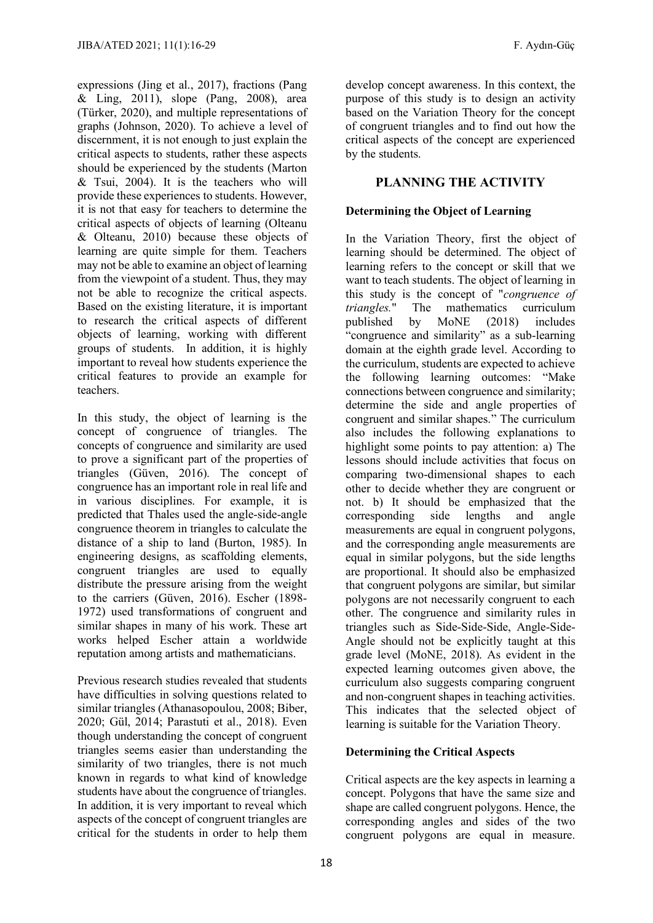expressions (Jing et al., 2017), fractions (Pang & Ling, 2011), slope (Pang, 2008), area (Türker, 2020), and multiple representations of graphs (Johnson, 2020). To achieve a level of discernment, it is not enough to just explain the critical aspects to students, rather these aspects should be experienced by the students (Marton  $&$  Tsui, 2004). It is the teachers who will provide these experiences to students. However, it is not that easy for teachers to determine the critical aspects of objects of learning (Olteanu & Olteanu, 2010) because these objects of learning are quite simple for them. Teachers may not be able to examine an object of learning from the viewpoint of a student. Thus, they may not be able to recognize the critical aspects. Based on the existing literature, it is important to research the critical aspects of different objects of learning, working with different groups of students. In addition, it is highly important to reveal how students experience the critical features to provide an example for teachers.

In this study, the object of learning is the concept of congruence of triangles. The concepts of congruence and similarity are used to prove a significant part of the properties of triangles (Güven, 2016). The concept of congruence has an important role in real life and in various disciplines. For example, it is predicted that Thales used the angle-side-angle congruence theorem in triangles to calculate the distance of a ship to land (Burton, 1985). In engineering designs, as scaffolding elements, congruent triangles are used to equally distribute the pressure arising from the weight to the carriers (Güven, 2016). Escher (1898- 1972) used transformations of congruent and similar shapes in many of his work. These art works helped Escher attain a worldwide reputation among artists and mathematicians.

Previous research studies revealed that students have difficulties in solving questions related to similar triangles (Athanasopoulou, 2008; Biber, 2020; Gül, 2014; Parastuti et al., 2018). Even though understanding the concept of congruent triangles seems easier than understanding the similarity of two triangles, there is not much known in regards to what kind of knowledge students have about the congruence of triangles. In addition, it is very important to reveal which aspects of the concept of congruent triangles are critical for the students in order to help them develop concept awareness. In this context, the purpose of this study is to design an activity based on the Variation Theory for the concept of congruent triangles and to find out how the critical aspects of the concept are experienced by the students.

## **PLANNING THE ACTIVITY**

## **Determining the Object of Learning**

In the Variation Theory, first the object of learning should be determined. The object of learning refers to the concept or skill that we want to teach students. The object of learning in this study is the concept of "*congruence of triangles.*" The mathematics curriculum<br>published by MoNE (2018) includes published by "congruence and similarity" as a sub-learning domain at the eighth grade level. According to the curriculum, students are expected to achieve the following learning outcomes: "Make connections between congruence and similarity; determine the side and angle properties of congruent and similar shapes." The curriculum also includes the following explanations to highlight some points to pay attention: a) The lessons should include activities that focus on comparing two-dimensional shapes to each other to decide whether they are congruent or not. b) It should be emphasized that the corresponding side lengths and angle measurements are equal in congruent polygons, and the corresponding angle measurements are equal in similar polygons, but the side lengths are proportional. It should also be emphasized that congruent polygons are similar, but similar polygons are not necessarily congruent to each other. The congruence and similarity rules in triangles such as Side-Side-Side, Angle-Side-Angle should not be explicitly taught at this grade level (MoNE, 2018). As evident in the expected learning outcomes given above, the curriculum also suggests comparing congruent and non-congruent shapes in teaching activities. This indicates that the selected object of learning is suitable for the Variation Theory.

#### **Determining the Critical Aspects**

Critical aspects are the key aspects in learning a concept. Polygons that have the same size and shape are called congruent polygons. Hence, the corresponding angles and sides of the two congruent polygons are equal in measure.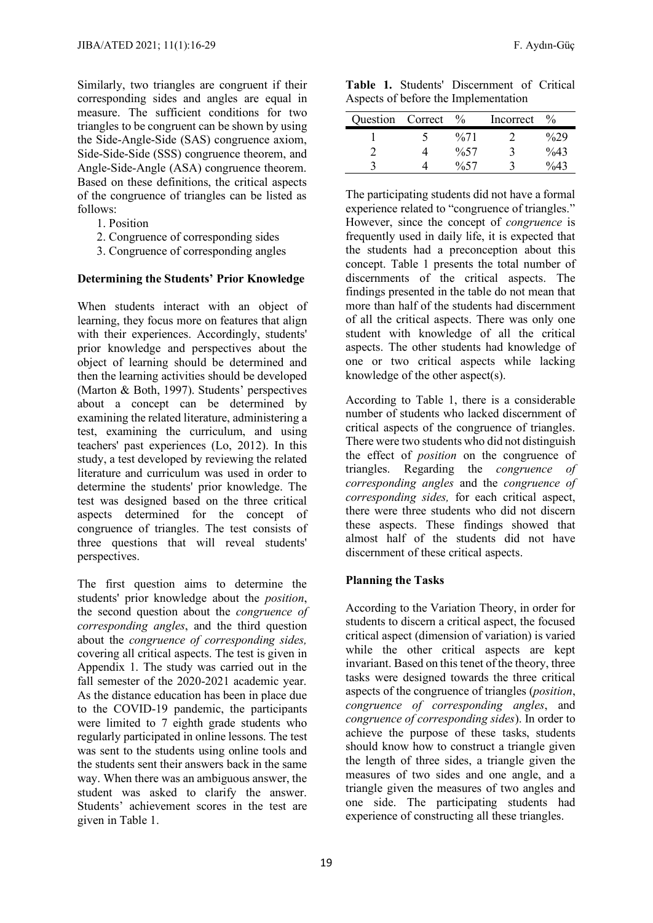Similarly, two triangles are congruent if their corresponding sides and angles are equal in measure. The sufficient conditions for two triangles to be congruent can be shown by using the Side-Angle-Side (SAS) congruence axiom, Side-Side-Side (SSS) congruence theorem, and Angle-Side-Angle (ASA) congruence theorem. Based on these definitions, the critical aspects of the congruence of triangles can be listed as follows:

- 1. Position
- 2. Congruence of corresponding sides
- 3. Congruence of corresponding angles

#### **Determining the Students' Prior Knowledge**

When students interact with an object of learning, they focus more on features that align with their experiences. Accordingly, students' prior knowledge and perspectives about the object of learning should be determined and then the learning activities should be developed (Marton & Both, 1997). Students' perspectives about a concept can be determined by examining the related literature, administering a test, examining the curriculum, and using teachers' past experiences (Lo, 2012). In this study, a test developed by reviewing the related literature and curriculum was used in order to determine the students' prior knowledge. The test was designed based on the three critical aspects determined for the concept of congruence of triangles. The test consists of three questions that will reveal students' perspectives.

The first question aims to determine the students' prior knowledge about the *position*, the second question about the *congruence of corresponding angles*, and the third question about the *congruence of corresponding sides,*  covering all critical aspects. The test is given in Appendix 1. The study was carried out in the fall semester of the 2020-2021 academic year. As the distance education has been in place due to the COVID-19 pandemic, the participants were limited to 7 eighth grade students who regularly participated in online lessons. The test was sent to the students using online tools and the students sent their answers back in the same way. When there was an ambiguous answer, the student was asked to clarify the answer. Students' achievement scores in the test are given in Table 1.

**Table 1.** Students' Discernment of Critical Aspects of before the Implementation

| Question Correct | $\%$                | Incorrect | $\frac{0}{0}$ |
|------------------|---------------------|-----------|---------------|
|                  | $\frac{9}{671}$     |           | $\%29$        |
|                  | $\frac{0.57}{0.57}$ |           | $\%43$        |
|                  | $\%57$              |           | $\frac{0}{4}$ |

The participating students did not have a formal experience related to "congruence of triangles." However, since the concept of *congruence* is frequently used in daily life, it is expected that the students had a preconception about this concept. Table 1 presents the total number of discernments of the critical aspects. The findings presented in the table do not mean that more than half of the students had discernment of all the critical aspects. There was only one student with knowledge of all the critical aspects. The other students had knowledge of one or two critical aspects while lacking knowledge of the other aspect(s).

According to Table 1, there is a considerable number of students who lacked discernment of critical aspects of the congruence of triangles. There were two students who did not distinguish the effect of *position* on the congruence of triangles. Regarding the *congruence of corresponding angles* and the *congruence of corresponding sides,* for each critical aspect, there were three students who did not discern these aspects. These findings showed that almost half of the students did not have discernment of these critical aspects.

#### **Planning the Tasks**

According to the Variation Theory, in order for students to discern a critical aspect, the focused critical aspect (dimension of variation) is varied while the other critical aspects are kept invariant. Based on this tenet of the theory, three tasks were designed towards the three critical aspects of the congruence of triangles (*position*, *congruence of corresponding angles*, and *congruence of corresponding sides*). In order to achieve the purpose of these tasks, students should know how to construct a triangle given the length of three sides, a triangle given the measures of two sides and one angle, and a triangle given the measures of two angles and one side. The participating students had experience of constructing all these triangles.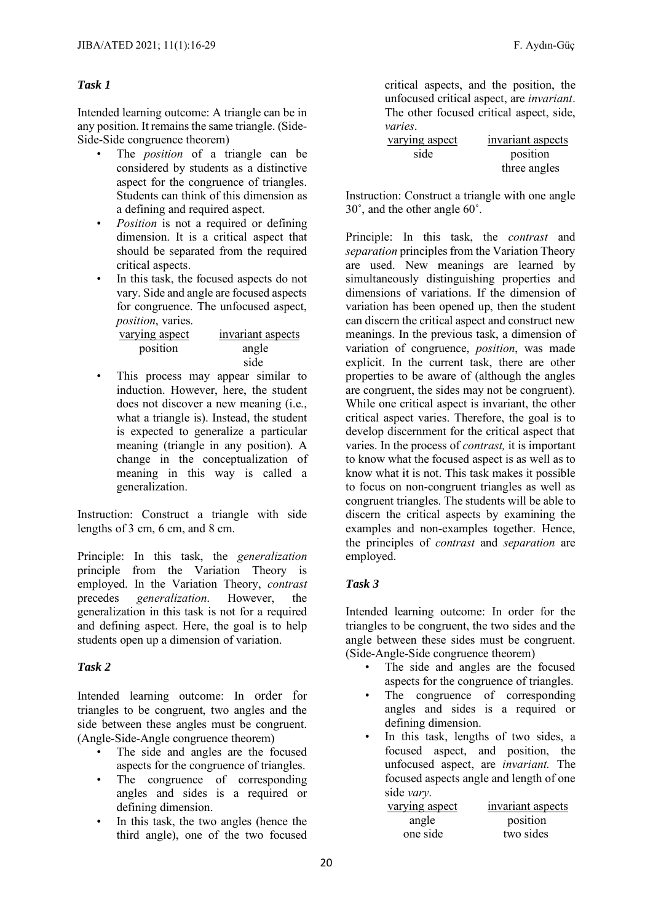## *Task 1*

Intended learning outcome: A triangle can be in any position. It remains the same triangle. (Side-Side-Side congruence theorem)

- The *position* of a triangle can be considered by students as a distinctive aspect for the congruence of triangles. Students can think of this dimension as a defining and required aspect.
- *Position* is not a required or defining dimension. It is a critical aspect that should be separated from the required critical aspects.
- In this task, the focused aspects do not vary. Side and angle are focused aspects for congruence. The unfocused aspect, *position*, varies.

| varying aspect | invariant aspects |
|----------------|-------------------|
| position       | angle             |
|                | side              |

This process may appear similar to induction. However, here, the student does not discover a new meaning (i.e., what a triangle is). Instead, the student is expected to generalize a particular meaning (triangle in any position). A change in the conceptualization of meaning in this way is called a generalization.

Instruction: Construct a triangle with side lengths of 3 cm, 6 cm, and 8 cm.

Principle: In this task, the *generalization* principle from the Variation Theory is employed. In the Variation Theory, *contrast*  precedes *generalization*. However, the generalization in this task is not for a required and defining aspect. Here, the goal is to help students open up a dimension of variation.

#### *Task 2*

Intended learning outcome: In order for triangles to be congruent, two angles and the side between these angles must be congruent. (Angle-Side-Angle congruence theorem)

- The side and angles are the focused aspects for the congruence of triangles.
- The congruence of corresponding angles and sides is a required or defining dimension.
- In this task, the two angles (hence the third angle), one of the two focused

critical aspects, and the position, the unfocused critical aspect, are *invariant*. The other focused critical aspect, side, *varies*.

| varying aspect | invariant aspects |
|----------------|-------------------|
| side           | position          |
|                | three angles      |

Instruction: Construct a triangle with one angle 30˚, and the other angle 60˚.

Principle: In this task, the *contrast* and *separation* principles from the Variation Theory are used. New meanings are learned by simultaneously distinguishing properties and dimensions of variations. If the dimension of variation has been opened up, then the student can discern the critical aspect and construct new meanings. In the previous task, a dimension of variation of congruence, *position*, was made explicit. In the current task, there are other properties to be aware of (although the angles are congruent, the sides may not be congruent). While one critical aspect is invariant, the other critical aspect varies. Therefore, the goal is to develop discernment for the critical aspect that varies. In the process of *contrast,* it is important to know what the focused aspect is as well as to know what it is not. This task makes it possible to focus on non-congruent triangles as well as congruent triangles. The students will be able to discern the critical aspects by examining the examples and non-examples together. Hence, the principles of *contrast* and *separation* are employed.

## *Task 3*

Intended learning outcome: In order for the triangles to be congruent, the two sides and the angle between these sides must be congruent. (Side-Angle-Side congruence theorem)

- The side and angles are the focused aspects for the congruence of triangles.
- The congruence of corresponding angles and sides is a required or defining dimension.
- In this task, lengths of two sides, a focused aspect, and position, the unfocused aspect, are *invariant.* The focused aspects angle and length of one side *vary*.

| varying aspect | invariant aspects |
|----------------|-------------------|
| angle          | position          |
| one side       | two sides         |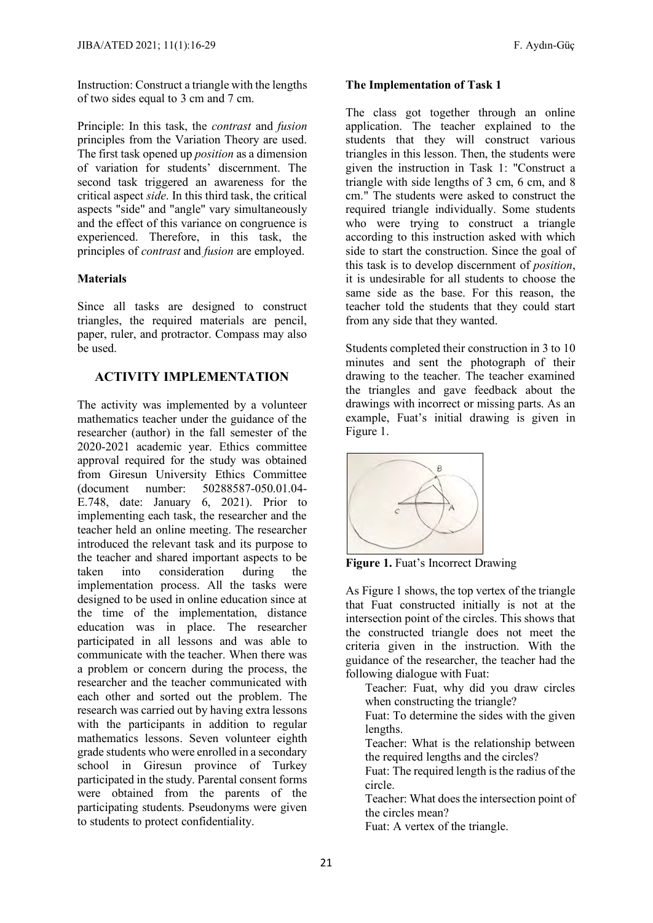Instruction: Construct a triangle with the lengths of two sides equal to 3 cm and 7 cm.

Principle: In this task, the *contrast* and *fusion* principles from the Variation Theory are used. The first task opened up *position* as a dimension of variation for students' discernment. The second task triggered an awareness for the critical aspect *side*. In this third task, the critical aspects "side" and "angle" vary simultaneously and the effect of this variance on congruence is experienced. Therefore, in this task, the principles of *contrast* and *fusion* are employed.

## **Materials**

Since all tasks are designed to construct triangles, the required materials are pencil, paper, ruler, and protractor. Compass may also be used.

## **ACTIVITY IMPLEMENTATION**

The activity was implemented by a volunteer mathematics teacher under the guidance of the researcher (author) in the fall semester of the 2020-2021 academic year. Ethics committee approval required for the study was obtained from Giresun University Ethics Committee (document number: 50288587-050.01.04- E.748, date: January 6, 2021). Prior to implementing each task, the researcher and the teacher held an online meeting. The researcher introduced the relevant task and its purpose to the teacher and shared important aspects to be taken into consideration during the implementation process. All the tasks were designed to be used in online education since at the time of the implementation, distance education was in place. The researcher participated in all lessons and was able to communicate with the teacher. When there was a problem or concern during the process, the researcher and the teacher communicated with each other and sorted out the problem. The research was carried out by having extra lessons with the participants in addition to regular mathematics lessons. Seven volunteer eighth grade students who were enrolled in a secondary school in Giresun province of Turkey participated in the study. Parental consent forms were obtained from the parents of the participating students. Pseudonyms were given to students to protect confidentiality.

## **The Implementation of Task 1**

The class got together through an online application. The teacher explained to the students that they will construct various triangles in this lesson. Then, the students were given the instruction in Task 1: "Construct a triangle with side lengths of 3 cm, 6 cm, and 8 cm." The students were asked to construct the required triangle individually. Some students who were trying to construct a triangle according to this instruction asked with which side to start the construction. Since the goal of this task is to develop discernment of *position*, it is undesirable for all students to choose the same side as the base. For this reason, the teacher told the students that they could start from any side that they wanted.

Students completed their construction in 3 to 10 minutes and sent the photograph of their drawing to the teacher. The teacher examined the triangles and gave feedback about the drawings with incorrect or missing parts. As an example, Fuat's initial drawing is given in Figure 1.



**Figure 1.** Fuat's Incorrect Drawing

As Figure 1 shows, the top vertex of the triangle that Fuat constructed initially is not at the intersection point of the circles. This shows that the constructed triangle does not meet the criteria given in the instruction. With the guidance of the researcher, the teacher had the following dialogue with Fuat:

Teacher: Fuat, why did you draw circles when constructing the triangle?

Fuat: To determine the sides with the given lengths.

Teacher: What is the relationship between the required lengths and the circles?

Fuat: The required length is the radius of the circle.

Teacher: What does the intersection point of the circles mean?

Fuat: A vertex of the triangle.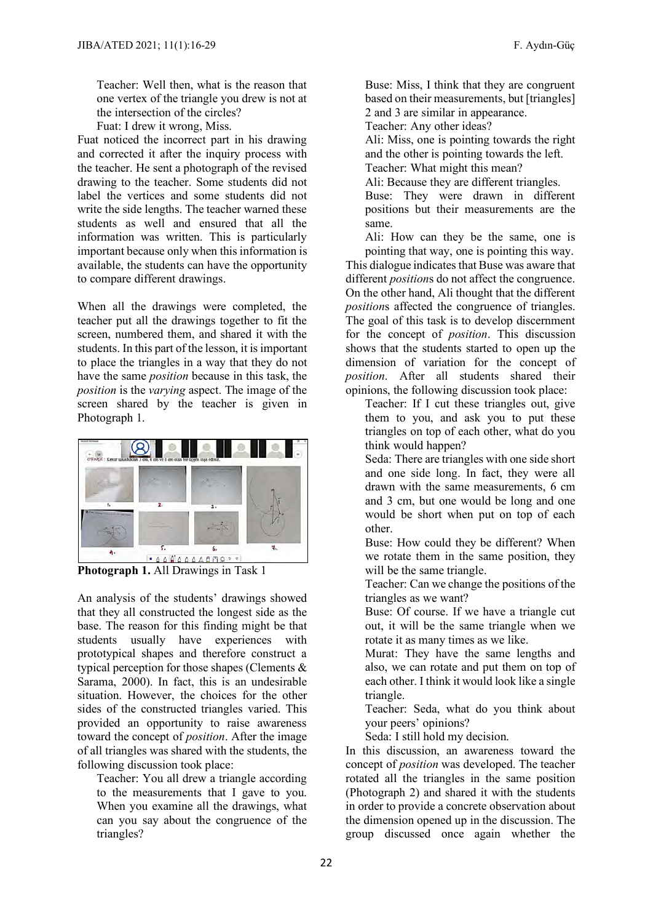Teacher: Well then, what is the reason that one vertex of the triangle you drew is not at the intersection of the circles?

Fuat: I drew it wrong, Miss.

Fuat noticed the incorrect part in his drawing and corrected it after the inquiry process with the teacher. He sent a photograph of the revised drawing to the teacher. Some students did not label the vertices and some students did not write the side lengths. The teacher warned these students as well and ensured that all the information was written. This is particularly important because only when this information is available, the students can have the opportunity to compare different drawings.

When all the drawings were completed, the teacher put all the drawings together to fit the screen, numbered them, and shared it with the students. In this part of the lesson, it is important to place the triangles in a way that they do not have the same *position* because in this task, the *position* is the *varying* aspect. The image of the screen shared by the teacher is given in Photograph 1.



**Photograph 1.** All Drawings in Task 1

An analysis of the students' drawings showed that they all constructed the longest side as the base. The reason for this finding might be that students usually have experiences with prototypical shapes and therefore construct a typical perception for those shapes (Clements & Sarama, 2000). In fact, this is an undesirable situation. However, the choices for the other sides of the constructed triangles varied. This provided an opportunity to raise awareness toward the concept of *position*. After the image of all triangles was shared with the students, the following discussion took place:

Teacher: You all drew a triangle according to the measurements that I gave to you. When you examine all the drawings, what can you say about the congruence of the triangles?

Buse: Miss, I think that they are congruent based on their measurements, but [triangles] 2 and 3 are similar in appearance.

Teacher: Any other ideas?

Ali: Miss, one is pointing towards the right and the other is pointing towards the left. Teacher: What might this mean?

Ali: Because they are different triangles.

Buse: They were drawn in different positions but their measurements are the same.

Ali: How can they be the same, one is pointing that way, one is pointing this way.

This dialogue indicates that Buse was aware that different *position*s do not affect the congruence. On the other hand, Ali thought that the different *position*s affected the congruence of triangles. The goal of this task is to develop discernment for the concept of *position*. This discussion shows that the students started to open up the dimension of variation for the concept of *position*. After all students shared their opinions, the following discussion took place:

Teacher: If I cut these triangles out, give them to you, and ask you to put these triangles on top of each other, what do you think would happen?

Seda: There are triangles with one side short and one side long. In fact, they were all drawn with the same measurements, 6 cm and 3 cm, but one would be long and one would be short when put on top of each other.

Buse: How could they be different? When we rotate them in the same position, they will be the same triangle.

Teacher: Can we change the positions of the triangles as we want?

Buse: Of course. If we have a triangle cut out, it will be the same triangle when we rotate it as many times as we like.

Murat: They have the same lengths and also, we can rotate and put them on top of each other. I think it would look like a single triangle.

Teacher: Seda, what do you think about your peers' opinions?

Seda: I still hold my decision.

In this discussion, an awareness toward the concept of *position* was developed. The teacher rotated all the triangles in the same position (Photograph 2) and shared it with the students in order to provide a concrete observation about the dimension opened up in the discussion. The group discussed once again whether the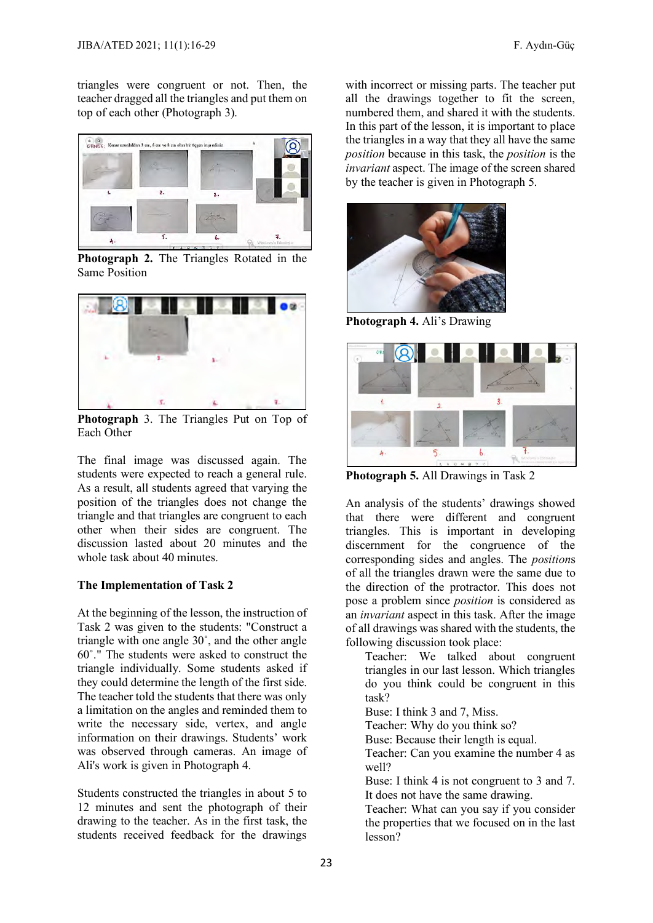triangles were congruent or not. Then, the teacher dragged all the triangles and put them on top of each other (Photograph 3).



**Photograph 2.** The Triangles Rotated in the Same Position



**Photograph** 3. The Triangles Put on Top of Each Other

The final image was discussed again. The students were expected to reach a general rule. As a result, all students agreed that varying the position of the triangles does not change the triangle and that triangles are congruent to each other when their sides are congruent. The discussion lasted about 20 minutes and the whole task about 40 minutes.

#### **The Implementation of Task 2**

At the beginning of the lesson, the instruction of Task 2 was given to the students: "Construct a triangle with one angle 30˚, and the other angle 60˚." The students were asked to construct the triangle individually. Some students asked if they could determine the length of the first side. The teacher told the students that there was only a limitation on the angles and reminded them to write the necessary side, vertex, and angle information on their drawings. Students' work was observed through cameras. An image of Ali's work is given in Photograph 4.

Students constructed the triangles in about 5 to 12 minutes and sent the photograph of their drawing to the teacher. As in the first task, the students received feedback for the drawings

with incorrect or missing parts. The teacher put all the drawings together to fit the screen, numbered them, and shared it with the students. In this part of the lesson, it is important to place the triangles in a way that they all have the same *position* because in this task, the *position* is the *invariant* aspect. The image of the screen shared by the teacher is given in Photograph 5.



**Photograph 4.** Ali's Drawing



**Photograph 5.** All Drawings in Task 2

An analysis of the students' drawings showed that there were different and congruent triangles. This is important in developing discernment for the congruence of the corresponding sides and angles. The *position*s of all the triangles drawn were the same due to the direction of the protractor. This does not pose a problem since *position* is considered as an *invariant* aspect in this task. After the image of all drawings was shared with the students, the following discussion took place:

Teacher: We talked about congruent triangles in our last lesson. Which triangles do you think could be congruent in this task?

Buse: I think 3 and 7, Miss.

Teacher: Why do you think so?

Buse: Because their length is equal.

Teacher: Can you examine the number 4 as well?

Buse: I think 4 is not congruent to 3 and 7. It does not have the same drawing.

Teacher: What can you say if you consider the properties that we focused on in the last lesson?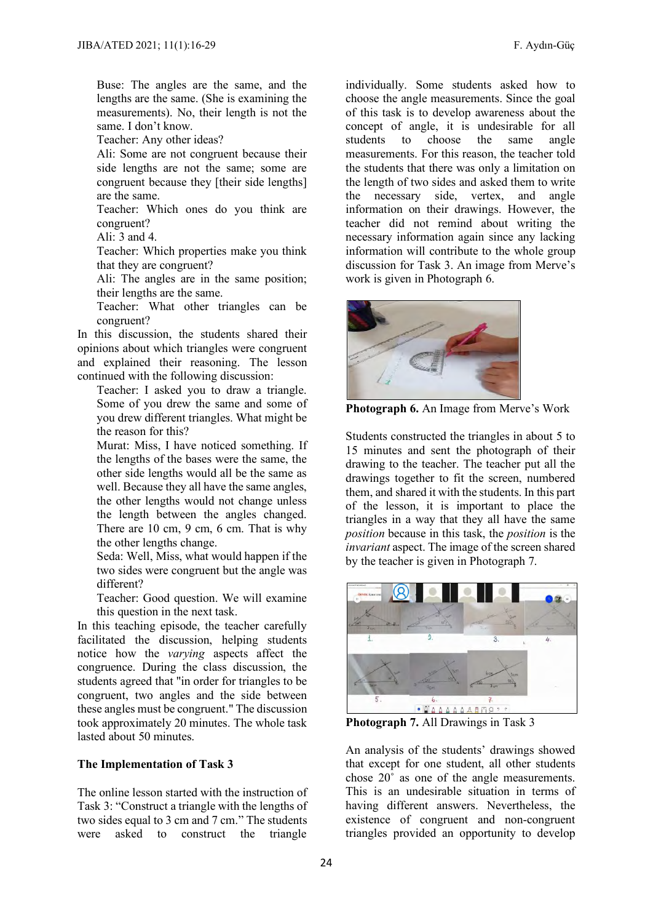Buse: The angles are the same, and the lengths are the same. (She is examining the measurements). No, their length is not the same. I don't know.

Teacher: Any other ideas?

Ali: Some are not congruent because their side lengths are not the same; some are congruent because they [their side lengths] are the same.

Teacher: Which ones do you think are congruent?

Ali<sup> $\cdot$ </sup> 3 and 4.

Teacher: Which properties make you think that they are congruent?

Ali: The angles are in the same position; their lengths are the same.

Teacher: What other triangles can be congruent?

In this discussion, the students shared their opinions about which triangles were congruent and explained their reasoning. The lesson continued with the following discussion:

Teacher: I asked you to draw a triangle. Some of you drew the same and some of you drew different triangles. What might be the reason for this?

Murat: Miss, I have noticed something. If the lengths of the bases were the same, the other side lengths would all be the same as well. Because they all have the same angles, the other lengths would not change unless the length between the angles changed. There are 10 cm, 9 cm, 6 cm. That is why the other lengths change.

Seda: Well, Miss, what would happen if the two sides were congruent but the angle was different?

Teacher: Good question. We will examine this question in the next task.

In this teaching episode, the teacher carefully facilitated the discussion, helping students notice how the *varying* aspects affect the congruence. During the class discussion, the students agreed that "in order for triangles to be congruent, two angles and the side between these angles must be congruent." The discussion took approximately 20 minutes. The whole task lasted about 50 minutes.

### **The Implementation of Task 3**

The online lesson started with the instruction of Task 3: "Construct a triangle with the lengths of two sides equal to 3 cm and 7 cm." The students were asked to construct the triangle

individually. Some students asked how to choose the angle measurements. Since the goal of this task is to develop awareness about the concept of angle, it is undesirable for all<br>students to choose the same angle choose the same angle measurements. For this reason, the teacher told the students that there was only a limitation on the length of two sides and asked them to write the necessary side, vertex, and angle information on their drawings. However, the teacher did not remind about writing the necessary information again since any lacking information will contribute to the whole group discussion for Task 3. An image from Merve's work is given in Photograph 6.



**Photograph 6.** An Image from Merve's Work

Students constructed the triangles in about 5 to 15 minutes and sent the photograph of their drawing to the teacher. The teacher put all the drawings together to fit the screen, numbered them, and shared it with the students. In this part of the lesson, it is important to place the triangles in a way that they all have the same *position* because in this task, the *position* is the *invariant* aspect. The image of the screen shared by the teacher is given in Photograph 7.



**Photograph 7.** All Drawings in Task 3

An analysis of the students' drawings showed that except for one student, all other students chose 20˚ as one of the angle measurements. This is an undesirable situation in terms of having different answers. Nevertheless, the existence of congruent and non-congruent triangles provided an opportunity to develop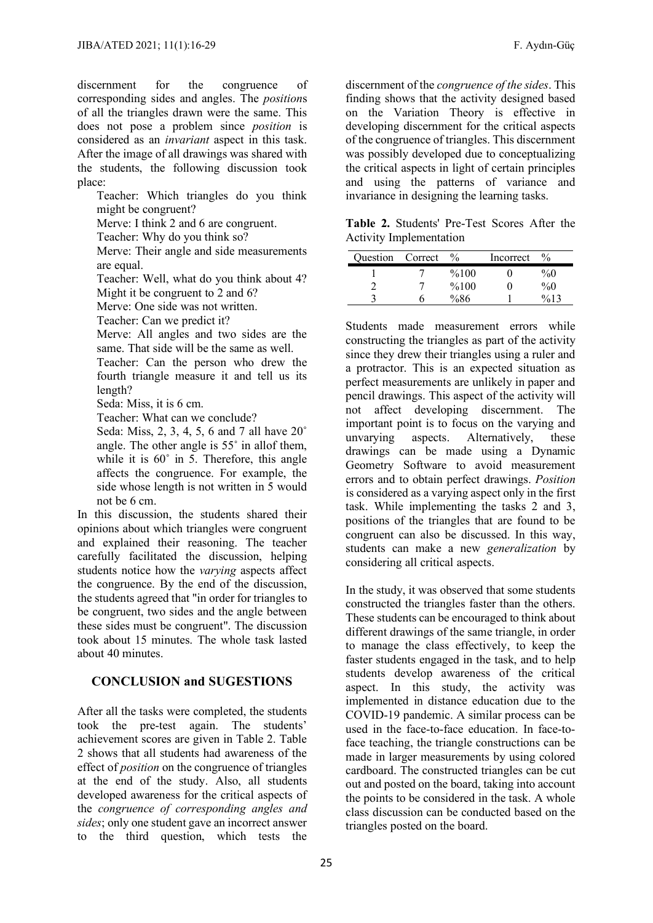discernment for the congruence of corresponding sides and angles. The *position*s of all the triangles drawn were the same. This does not pose a problem since *position* is considered as an *invariant* aspect in this task. After the image of all drawings was shared with the students, the following discussion took place:

Teacher: Which triangles do you think might be congruent?

Merve: I think 2 and 6 are congruent.

Teacher: Why do you think so?

Merve: Their angle and side measurements are equal.

Teacher: Well, what do you think about 4?

Might it be congruent to 2 and 6? Merve: One side was not written.

Teacher: Can we predict it?

Merve: All angles and two sides are the same. That side will be the same as well.

Teacher: Can the person who drew the fourth triangle measure it and tell us its length?

Seda: Miss, it is 6 cm.

Teacher: What can we conclude?

Seda: Miss, 2, 3, 4, 5, 6 and 7 all have 20˚ angle. The other angle is 55˚ in allof them, while it is  $60^\circ$  in 5. Therefore, this angle affects the congruence. For example, the side whose length is not written in 5 would not be 6 cm.

In this discussion, the students shared their opinions about which triangles were congruent and explained their reasoning. The teacher carefully facilitated the discussion, helping students notice how the *varying* aspects affect the congruence. By the end of the discussion, the students agreed that "in order for triangles to be congruent, two sides and the angle between these sides must be congruent". The discussion took about 15 minutes. The whole task lasted about 40 minutes.

## **CONCLUSION and SUGESTIONS**

After all the tasks were completed, the students took the pre-test again. The students' achievement scores are given in Table 2. Table 2 shows that all students had awareness of the effect of *position* on the congruence of triangles at the end of the study. Also, all students developed awareness for the critical aspects of the *congruence of corresponding angles and sides*; only one student gave an incorrect answer to the third question, which tests the discernment of the *congruence of the sides*. This finding shows that the activity designed based on the Variation Theory is effective in developing discernment for the critical aspects of the congruence of triangles. This discernment was possibly developed due to conceptualizing the critical aspects in light of certain principles and using the patterns of variance and invariance in designing the learning tasks.

**Table 2.** Students' Pre-Test Scores After the Activity Implementation

| <b>Ouestion</b> Correct | $\%$ | Incorrect | $\frac{0}{0}$ |
|-------------------------|------|-----------|---------------|
|                         | %100 |           | $\%0$         |
|                         | %100 |           | $\%0$         |
|                         | %86  |           |               |

Students made measurement errors while constructing the triangles as part of the activity since they drew their triangles using a ruler and a protractor. This is an expected situation as perfect measurements are unlikely in paper and pencil drawings. This aspect of the activity will not affect developing discernment. The important point is to focus on the varying and unvarying aspects. Alternatively, these drawings can be made using a Dynamic Geometry Software to avoid measurement errors and to obtain perfect drawings. *Position*  is considered as a varying aspect only in the first task. While implementing the tasks 2 and 3, positions of the triangles that are found to be congruent can also be discussed. In this way, students can make a new *generalization* by considering all critical aspects.

In the study, it was observed that some students constructed the triangles faster than the others. These students can be encouraged to think about different drawings of the same triangle, in order to manage the class effectively, to keep the faster students engaged in the task, and to help students develop awareness of the critical aspect. In this study, the activity was implemented in distance education due to the COVID-19 pandemic. A similar process can be used in the face-to-face education. In face-toface teaching, the triangle constructions can be made in larger measurements by using colored cardboard. The constructed triangles can be cut out and posted on the board, taking into account the points to be considered in the task. A whole class discussion can be conducted based on the triangles posted on the board.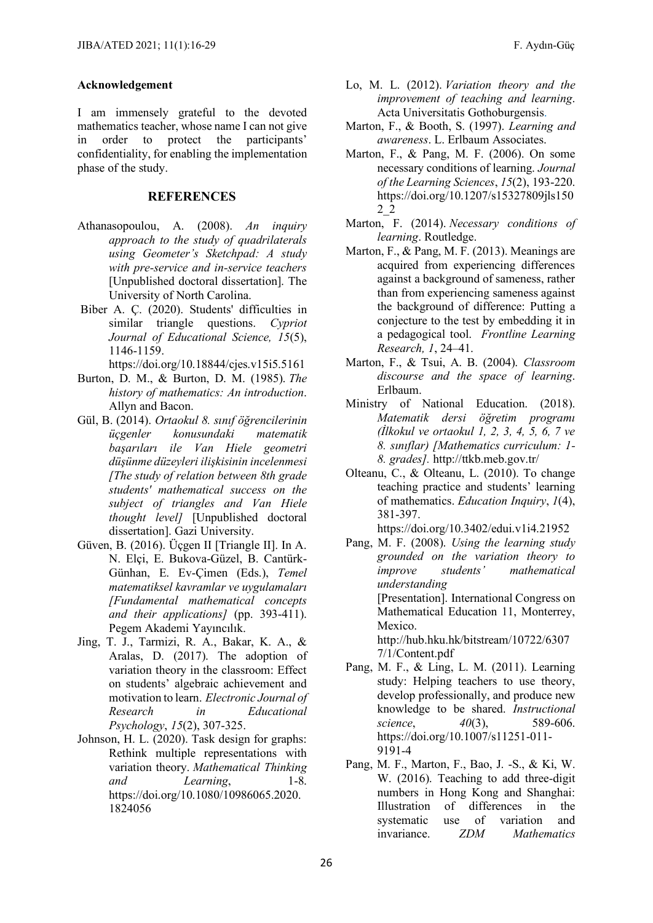#### **Acknowledgement**

I am immensely grateful to the devoted mathematics teacher, whose name I can not give in order to protect the participants' confidentiality, for enabling the implementation phase of the study.

#### **REFERENCES**

- Athanasopoulou, A. (2008). *An inquiry approach to the study of quadrilaterals using Geometer's Sketchpad: A study with pre-service and in-service teachers* [Unpublished doctoral dissertation]. The University of North Carolina.
- Biber A. Ç. (2020). Students' difficulties in similar triangle questions. *Cypriot Journal of Educational Science, 15*(5), 1146-1159.

<https://doi.org/10.18844/cjes.v15i5.5161>

- Burton, D. M., & Burton, D. M. (1985). *The history of mathematics: An introduction*. Allyn and Bacon.
- Gül, B. (2014). *Ortaokul 8. sınıf öğrencilerinin üçgenler konusundaki matematik başarıları ile Van Hiele geometri düşünme düzeyleri ilişkisinin incelenmesi [The study of relation between 8th grade students' mathematical success on the subject of triangles and Van Hiele thought level]* [Unpublished doctoral dissertation]. Gazi University.
- Güven, B. (2016). Üçgen II [Triangle II]. In A. N. Elçi, E. Bukova-Güzel, B. Cantürk-Günhan, E. Ev-Çimen (Eds.), *Temel matematiksel kavramlar ve uygulamaları [Fundamental mathematical concepts and their applications]* (pp. 393-411). Pegem Akademi Yayıncılık.
- Jing, T. J., Tarmizi, R. A., Bakar, K. A., & Aralas, D. (2017). The adoption of variation theory in the classroom: Effect on students' algebraic achievement and motivation to learn. *Electronic Journal of Research in Educational Psychology*, *15*(2), 307-325.
- Johnson, H. L. (2020). Task design for graphs: Rethink multiple representations with variation theory. *Mathematical Thinking and Learning*, 1-8. [https://doi.org/10.1080/10986065.2020.](https://doi.org/10.1080/10986065.2020.1824056) [1824056](https://doi.org/10.1080/10986065.2020.1824056)
- Lo, M. L. (2012). *Variation theory and the improvement of teaching and learning*. Acta Universitatis Gothoburgensis.
- Marton, F., & Booth, S. (1997). *Learning and awareness*. L. Erlbaum Associates.
- Marton, F., & Pang, M. F. (2006). On some necessary conditions of learning. *Journal of the Learning Sciences*, *15*(2), 193-220. [https://doi.org/10.1207/s15327809jls150](https://doi.org/10.1207/s15327809jls1502_2) [2\\_2](https://doi.org/10.1207/s15327809jls1502_2)
- Marton, F. (2014). *Necessary conditions of learning*. Routledge.
- Marton, F., & Pang, M. F. (2013). Meanings are acquired from experiencing differences against a background of sameness, rather than from experiencing sameness against the background of difference: Putting a conjecture to the test by embedding it in a pedagogical tool. *Frontline Learning Research, 1*, 24–41.
- Marton, F., & Tsui, A. B. (2004). *Classroom discourse and the space of learning*. Erlbaum.
- Ministry of National Education. (2018). *Matematik dersi öğretim programı (İlkokul ve ortaokul 1, 2, 3, 4, 5, 6, 7 ve 8. sınıflar) [Mathematics curriculum: 1- 8. grades].* <http://ttkb.meb.gov.tr/>
- Olteanu, C., & Olteanu, L. (2010). To change teaching practice and students' learning of mathematics. *Education Inquiry*, *1*(4), 381-397.

https://doi.org/10.3402/edui.v1i4.21952

- Pang, M. F. (2008). *Using the learning study grounded on the variation theory to improve students' mathematical understanding*  [Presentation]. International Congress on Mathematical Education 11, Monterrey, Mexico. http://hub.hku.hk/bitstream/10722/6307 7/1/Content.pdf
- Pang, M. F., & Ling, L. M. (2011). Learning study: Helping teachers to use theory, develop professionally, and produce new knowledge to be shared. *Instructional science*, *40*(3), 589-606. [https://doi.org/10.1007/s11251-011-](https://doi.org/10.1007/s11251-011-9191-4) [9191-4](https://doi.org/10.1007/s11251-011-9191-4)
- Pang, M. F., Marton, F., Bao, J. -S., & Ki, W. W. (2016). Teaching to add three-digit numbers in Hong Kong and Shanghai: Illustration of differences in the systematic use of variation and invariance. *ZDM Mathematics*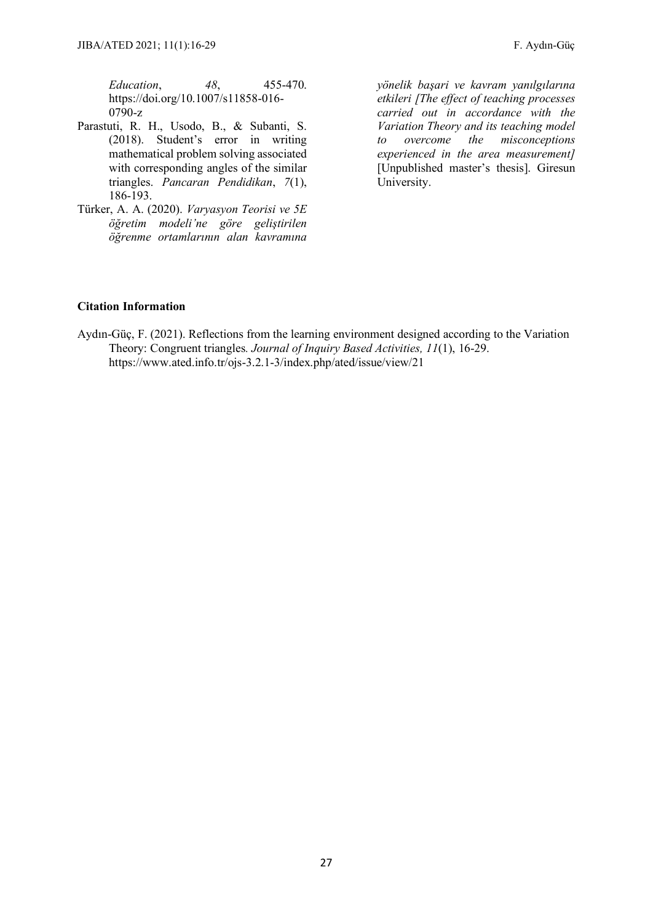- Parastuti, R. H., Usodo, B., & Subanti, S. (2018). Student's error in writing mathematical problem solving associated with corresponding angles of the similar triangles. *Pancaran Pendidikan*, *7*(1), 186-193.
- Türker, A. A. (2020). *Varyasyon Teorisi ve 5E öğretim modeli'ne göre geliştirilen öğrenme ortamlarının alan kavramına*

*yönelik başari ve kavram yanılgılarına etkileri [The effect of teaching processes carried out in accordance with the Variation Theory and its teaching model to overcome the misconceptions experienced in the area measurement]* [Unpublished master's thesis]. Giresun University.

## **Citation Information**

Aydın-Güç, F. (2021). Reflections from the learning environment designed according to the Variation Theory: Congruent triangles*. Journal of Inquiry Based Activities, 11*(1), 16-29. https://www.ated.info.tr/ojs-3.2.1-3/index.php/ated/issue/view/21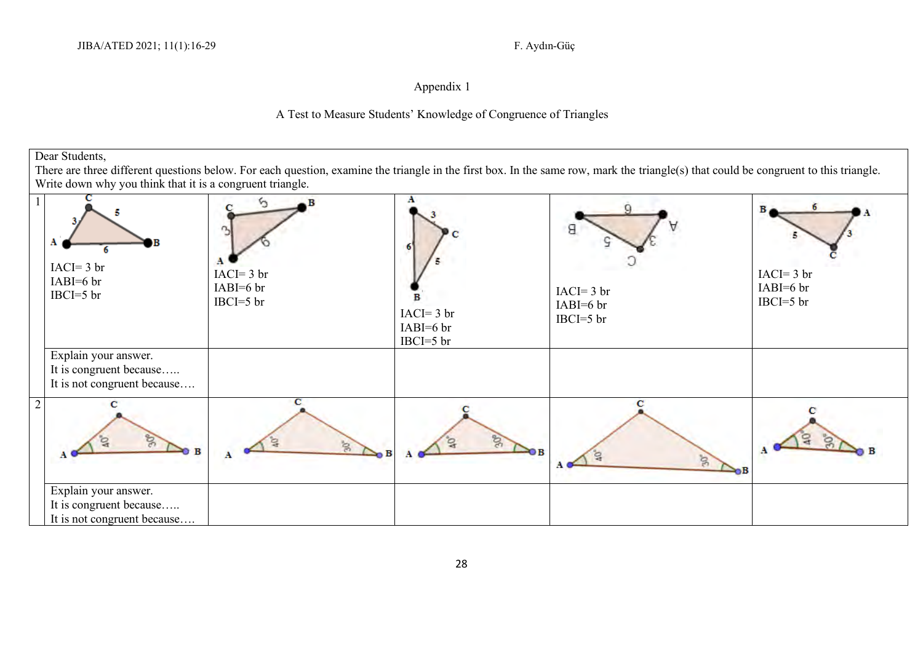## Appendix 1

## A Test to Measure Students' Knowledge of Congruence of Triangles

Dear Students,

There are three different questions below. For each question, examine the triangle in the first box. In the same row, mark the triangle(s) that could be congruent to this triangle. Write down why you think that it is a congruent triangle.

|                | $IACI = 3 br$<br>$IABI=6$ br<br>$IBCI = 5 br$          | R<br>n<br>$IACI = 3 br$<br>$IABI=6$ br<br>$IBCI = 5 br$ | Α<br>R<br>$IACI = 3 br$<br>$IABI=6$ br<br>$IBCI = 5$ br | Я<br>$IACI = 3 br$<br>$IABI=6$ br<br>$IBCI = 5$ br | в<br>$IACI = 3 br$<br>$IABI=6$ br<br>$IBCI=5$ br |
|----------------|--------------------------------------------------------|---------------------------------------------------------|---------------------------------------------------------|----------------------------------------------------|--------------------------------------------------|
|                | Explain your answer.<br>It is congruent because        |                                                         |                                                         |                                                    |                                                  |
|                | It is not congruent because                            |                                                         |                                                         |                                                    |                                                  |
| $\overline{2}$ | $\mathcal{S}$                                          | S.<br>Α                                                 | $S_{\mathcal{C}}$<br>≥ов                                | $\approx$                                          |                                                  |
|                | Explain your answer.                                   |                                                         |                                                         |                                                    |                                                  |
|                | It is congruent because<br>It is not congruent because |                                                         |                                                         |                                                    |                                                  |